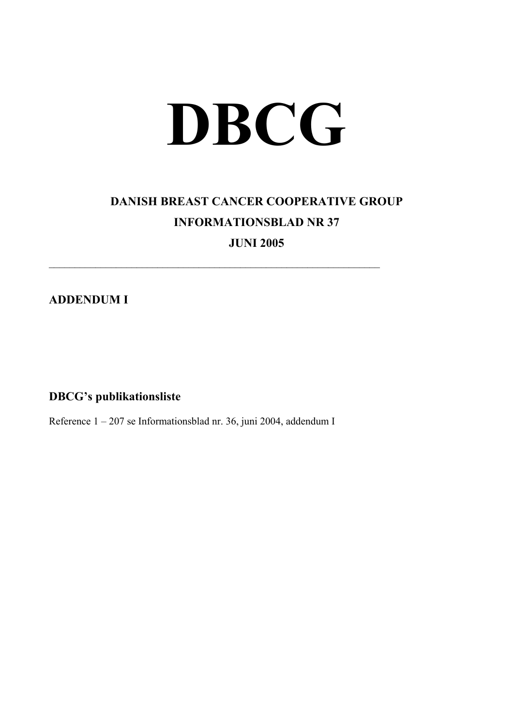## **DBCG**

## **DANISH BREAST CANCER COOPERATIVE GROUP INFORMATIONSBLAD NR 37**

**JUNI 2005** 

 $\mathcal{L}_\text{max}$  , and the contribution of the contribution of the contribution of the contribution of the contribution of the contribution of the contribution of the contribution of the contribution of the contribution of t

**ADDENDUM I** 

**DBCG's publikationsliste** 

Reference 1 – 207 se Informationsblad nr. 36, juni 2004, addendum I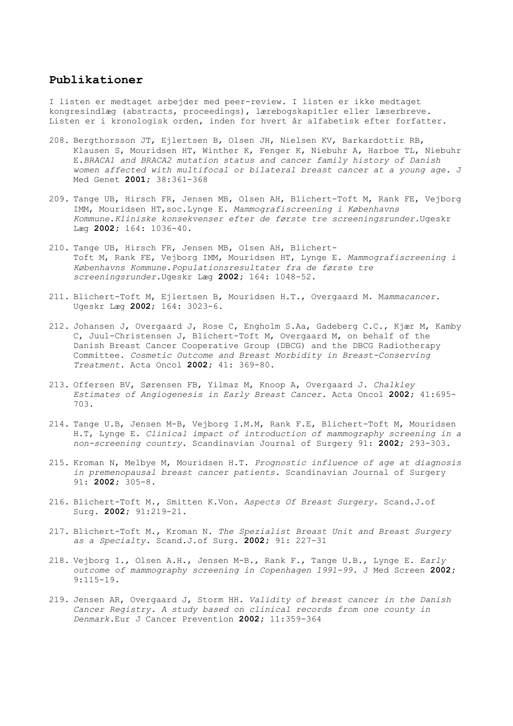## **Publikationer**

I listen er medtaget arbejder med peer-review. I listen er ikke medtaget kongresindlæg (abstracts, proceedings), lærebogskapitler eller læserbreve. Listen er i kronologisk orden, inden for hvert år alfabetisk efter forfatter.

- 208. Bergthorsson JT, Ejlertsen B, Olsen JH, Nielsen KV, Barkardottir RB, Klausen S, Mouridsen HT, Winther K, Fenger K, Niebuhr A, Harboe TL, Niebuhr E.*BRACA1 and BRACA2 mutation status and cancer family history of Danish women affected with multifocal or bilateral breast cancer at a young age.* J Med Genet **2001;** 38:361-368
- 209. Tange UB, Hirsch FR, Jensen MB, Olsen AH, Blichert-Toft M, Rank FE, Vejborg IMM, Mouridsen HT,soc.Lynge E. *Mammografiscreening i Københavns Kommune.Kliniske konsekvenser efter de første tre screeningsrunder.*Ugeskr Læg **2002;** 164: 1036-40.
- 210. Tange UB, Hirsch FR, Jensen MB, Olsen AH, Blichert-Toft M, Rank FE, Vejborg IMM, Mouridsen HT, Lynge E. *Mammografiscreening i Københavns Kommune.Populationsresultater fra de første tre screeningsrunder.*Ugeskr Læg **2002;** 164: 1048-52.
- 211. Blichert-Toft M, Ejlertsen B, Mouridsen H.T., Overgaard M. M*ammacancer*. Ugeskr Læg **2002**; 164: 3023-6.
- 212. Johansen J, Overgaard J, Rose C, Engholm S.Aa, Gadeberg C.C., Kjær M, Kamby C, Juul-Christensen J, Blichert-Toft M, Overgaard M, on behalf of the Danish Breast Cancer Cooperative Group (DBCG) and the DBCG Radiotherapy Committee. *Cosmetic Outcome and Breast Morbidity in Breast-Conserving Treatment*. Acta Oncol **2002;** 41: 369-80.
- 213. Offersen BV, Sørensen FB, Yilmaz M, Knoop A, Overgaard J. *Chalkley Estimates of Angiogenesis in Early Breast Cancer.* Acta Oncol **2002;** 41:695- 703.
- 214. Tange U.B, Jensen M-B, Vejborg I.M.M, Rank F.E, Blichert-Toft M, Mouridsen H.T, Lynge E. *Clinical impact of introduction of mammography screening in a non-screening country.* Scandinavian Journal of Surgery 91: **2002;** 293-303.
- 215. Kroman N, Melbye M, Mouridsen H.T. *Prognostic influence of age at diagnosis in premenopausal breast cancer patients.* Scandinavian Journal of Surgery 91: **2002;** 305-8.
- 216. Blichert-Toft M., Smitten K.Von. *Aspects Of Breast Surgery.* Scand.J.of Surg. **2002;** 91:219-21.
- 217. Blichert-Toft M., Kroman N. *The Spezialist Breast Unit and Breast Surgery as a Specialty.* Scand.J.of Surg. **2002;** 91: 227-31
- 218. Vejborg I., Olsen A.H., Jensen M-B., Rank F., Tange U.B., Lynge E. *Early outcome of mammography screening in Copenhagen 1991-99.* J Med Screen **2002;**  9:115-19.
- 219. Jensen AR, Overgaard J, Storm HH. *Validity of breast cancer in the Danish Cancer Registry. A study based on clinical records from one county in Denmark.*Eur J Cancer Prevention **2002;** 11:359-364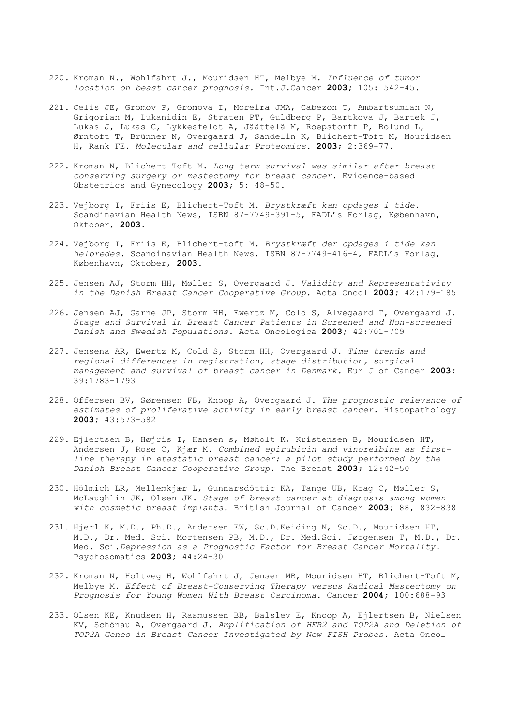- 220. Kroman N., Wohlfahrt J., Mouridsen HT, Melbye M. *Influence of tumor location on beast cancer prognosis.* Int.J.Cancer **2003;** 105: 542-45.
- 221. Celis JE, Gromov P, Gromova I, Moreira JMA, Cabezon T, Ambartsumian N, Grigorian M, Lukanidin E, Straten PT, Guldberg P, Bartkova J, Bartek J, Lukas J, Lukas C, Lykkesfeldt A, Jäättelä M, Roepstorff P, Bolund L, Ørntoft T, Brünner N, Overgaard J, Sandelin K, Blichert-Toft M, Mouridsen H, Rank FE. *Molecular and cellular Proteomics.* **2003;** 2:369-77.
- 222. Kroman N, Blichert-Toft M. *Long-term survival was similar after breastconserving surgery or mastectomy for breast cancer.* Evidence-based Obstetrics and Gynecology **2003;** 5: 48-50.
- 223. Vejborg I, Friis E, Blichert-Toft M. *Brystkræft kan opdages i tide.*  Scandinavian Health News, ISBN 87-7749-391-5, FADL's Forlag, København, Oktober, **2003.**
- 224. Vejborg I, Friis E, Blichert-toft M. *Brystkræft der opdages i tide kan helbredes.* Scandinavian Health News, ISBN 87-7749-416-4, FADL's Forlag, København, Oktober, **2003.**
- 225. Jensen AJ, Storm HH, Møller S, Overgaard J. *Validity and Representativity in the Danish Breast Cancer Cooperative Group.* Acta Oncol **2003;** 42:179-185
- 226. Jensen AJ, Garne JP, Storm HH, Ewertz M, Cold S, Alvegaard T, Overgaard J. *Stage and Survival in Breast Cancer Patients in Screened and Non-screened Danish and Swedish Populations.* Acta Oncologica **2003;** 42:701-709
- 227. Jensena AR, Ewertz M, Cold S, Storm HH, Overgaard J. *Time trends and regional differences in registration, stage distribution, surgical management and survival of breast cancer in Denmark.* Eur J of Cancer **2003;**  39:1783-1793
- 228. Offersen BV, Sørensen FB, Knoop A, Overgaard J. *The prognostic relevance of estimates of proliferative activity in early breast cancer.* Histopathology **2003;** 43:573-582
- 229. Ejlertsen B, Højris I, Hansen s, Møholt K, Kristensen B, Mouridsen HT, Andersen J, Rose C, Kjær M. *Combined epirubicin and vinorelbine as firstline therapy in etastatic breast cancer: a pilot study performed by the Danish Breast Cancer Cooperative Group.* The Breast **2003;** 12:42-50
- 230. Hölmich LR, Mellemkjær L, Gunnarsdóttir KA, Tange UB, Krag C, Møller S, McLaughlin JK, Olsen JK. *Stage of breast cancer at diagnosis among women with cosmetic breast implants.* British Journal of Cancer **2003;** 88, 832-838
- 231. Hjerl K, M.D., Ph.D., Andersen EW, Sc.D.Keiding N, Sc.D., Mouridsen HT, M.D., Dr. Med. Sci. Mortensen PB, M.D., Dr. Med.Sci. Jørgensen T, M.D., Dr. Med. Sci.*Depression as a Prognostic Factor for Breast Cancer Mortality.* Psychosomatics **2003;** 44:24-30
- 232. Kroman N, Holtveg H, Wohlfahrt J, Jensen MB, Mouridsen HT, Blichert-Toft M, Melbye M. *Effect of Breast-Conserving Therapy versus Radical Mastectomy on Prognosis for Young Women With Breast Carcinoma*. Cancer **2004;** 100:688-93
- 233. Olsen KE, Knudsen H, Rasmussen BB, Balslev E, Knoop A, Ejlertsen B, Nielsen KV, Schönau A, Overgaard J. *Amplification of HER2 and TOP2A and Deletion of TOP2A Genes in Breast Cancer Investigated by New FISH Probes.* Acta Oncol